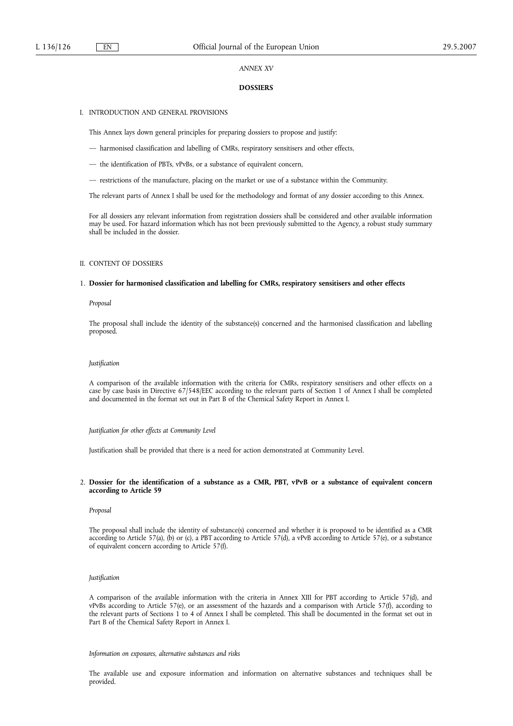## *ANNEX XV*

## **DOSSIERS**

## I. INTRODUCTION AND GENERAL PROVISIONS

This Annex lays down general principles for preparing dossiers to propose and justify:

- harmonised classification and labelling of CMRs, respiratory sensitisers and other effects,
- the identification of PBTs, vPvBs, or a substance of equivalent concern,
- restrictions of the manufacture, placing on the market or use of a substance within the Community.

The relevant parts of Annex I shall be used for the methodology and format of any dossier according to this Annex.

For all dossiers any relevant information from registration dossiers shall be considered and other available information may be used. For hazard information which has not been previously submitted to the Agency, a robust study summary shall be included in the dossier.

## II. CONTENT OF DOSSIERS

#### 1. **Dossier for harmonised classification and labelling for CMRs, respiratory sensitisers and other effects**

*Proposal*

The proposal shall include the identity of the substance(s) concerned and the harmonised classification and labelling proposed.

## *Justification*

A comparison of the available information with the criteria for CMRs, respiratory sensitisers and other effects on a case by case basis in Directive 67/548/EEC according to the relevant parts of Section 1 of Annex I shall be completed and documented in the format set out in Part B of the Chemical Safety Report in Annex I.

## *Justification for other effects at Community Level*

Justification shall be provided that there is a need for action demonstrated at Community Level.

## 2. **Dossier for the identification of a substance as a CMR, PBT, vPvB or a substance of equivalent concern according to Article 59**

#### *Proposal*

The proposal shall include the identity of substance(s) concerned and whether it is proposed to be identified as a CMR according to Article 57(a), (b) or (c), a PBT according to Article 57(d), a vPvB according to Article 57(e), or a substance of equivalent concern according to Article 57(f).

#### *Justification*

A comparison of the available information with the criteria in Annex XIII for PBT according to Article 57(d), and vPvBs according to Article 57(e), or an assessment of the hazards and a comparison with Article 57(f), according to the relevant parts of Sections 1 to 4 of Annex I shall be completed. This shall be documented in the format set out in Part B of the Chemical Safety Report in Annex I.

*Information on exposures, alternative substances and risks*

The available use and exposure information and information on alternative substances and techniques shall be provided.